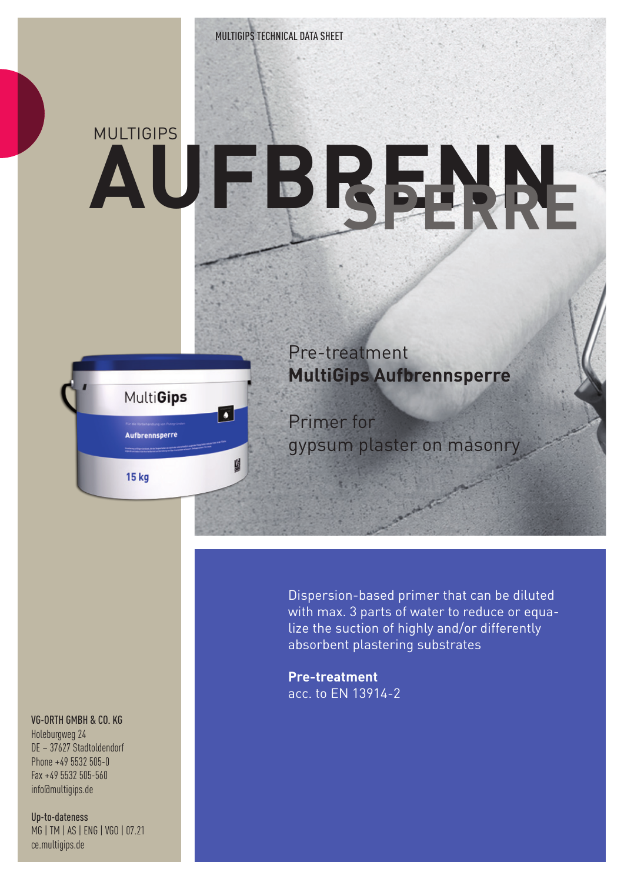## MUI TIGIPS **AUFBRENN SPERRE**



Pre-treatment **MultiGips Aufbrennsperre**

Primer for gypsum plaster on masonry

Dispersion-based primer that can be diluted with max. 3 parts of water to reduce or equalize the suction of highly and/or differently absorbent plastering substrates

**Pre-treatment**  acc. to EN 13914-2

## VG-ORTH GMBH & CO. KG

Holeburgweg 24 DE – 37627 Stadtoldendorf Phone +49 5532 505-0 Fax +49 5532 505-560 info@multigips.de

Up-to-dateness MG | TM | AS | ENG | VGO | 07.21 ce.multigips.de